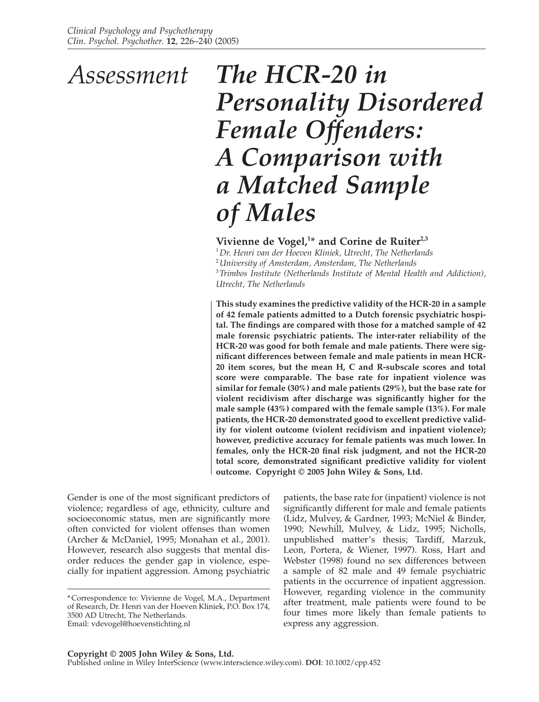# *The HCR-20 in Personality Disordered Female Offenders: A Comparison with a Matched Sample of Males Assessment*

**Vivienne de Vogel,1 \* and Corine de Ruiter2,3**

*Dr. Henri van der Hoeven Kliniek, Utrecht, The Netherlands University of Amsterdam, Amsterdam, The Netherlands Trimbos Institute (Netherlands Institute of Mental Health and Addiction), Utrecht, The Netherlands*

**This study examines the predictive validity of the HCR-20 in a sample of 42 female patients admitted to a Dutch forensic psychiatric hospital. The findings are compared with those for a matched sample of 42 male forensic psychiatric patients. The inter-rater reliability of the HCR-20 was good for both female and male patients. There were significant differences between female and male patients in mean HCR-20 item scores, but the mean H, C and R-subscale scores and total score were comparable. The base rate for inpatient violence was similar for female (30%) and male patients (29%), but the base rate for violent recidivism after discharge was significantly higher for the male sample (43%) compared with the female sample (13%). For male patients, the HCR-20 demonstrated good to excellent predictive validity for violent outcome (violent recidivism and inpatient violence); however, predictive accuracy for female patients was much lower. In females, only the HCR-20 final risk judgment, and not the HCR-20 total score, demonstrated significant predictive validity for violent outcome. Copyright © 2005 John Wiley & Sons, Ltd.**

Gender is one of the most significant predictors of violence; regardless of age, ethnicity, culture and socioeconomic status, men are significantly more often convicted for violent offenses than women (Archer & McDaniel, 1995; Monahan et al., 2001). However, research also suggests that mental disorder reduces the gender gap in violence, especially for inpatient aggression. Among psychiatric

patients, the base rate for (inpatient) violence is not significantly different for male and female patients (Lidz, Mulvey, & Gardner, 1993; McNiel & Binder, 1990; Newhill, Mulvey, & Lidz, 1995; Nicholls, unpublished matter's thesis; Tardiff, Marzuk, Leon, Portera, & Wiener, 1997). Ross, Hart and Webster (1998) found no sex differences between a sample of 82 male and 49 female psychiatric patients in the occurrence of inpatient aggression. However, regarding violence in the community after treatment, male patients were found to be four times more likely than female patients to express any aggression.

<sup>\*</sup> Correspondence to: Vivienne de Vogel, M.A., Department of Research, Dr. Henri van der Hoeven Kliniek, P.O. Box 174, 3500 AD Utrecht, The Netherlands. Email: vdevogel@hoevenstichting.nl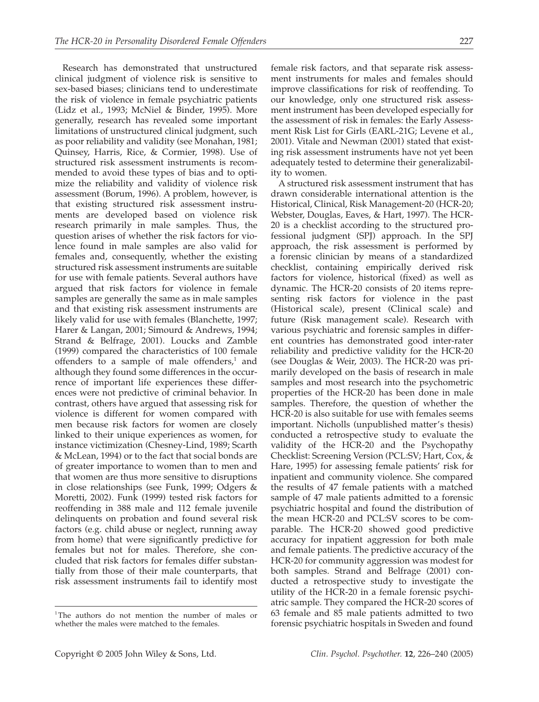Research has demonstrated that unstructured clinical judgment of violence risk is sensitive to sex-based biases; clinicians tend to underestimate the risk of violence in female psychiatric patients (Lidz et al., 1993; McNiel & Binder, 1995). More generally, research has revealed some important limitations of unstructured clinical judgment, such as poor reliability and validity (see Monahan, 1981; Quinsey, Harris, Rice, & Cormier, 1998). Use of structured risk assessment instruments is recommended to avoid these types of bias and to optimize the reliability and validity of violence risk assessment (Borum, 1996). A problem, however, is that existing structured risk assessment instruments are developed based on violence risk research primarily in male samples. Thus, the question arises of whether the risk factors for violence found in male samples are also valid for females and, consequently, whether the existing structured risk assessment instruments are suitable for use with female patients. Several authors have argued that risk factors for violence in female samples are generally the same as in male samples and that existing risk assessment instruments are likely valid for use with females (Blanchette, 1997; Harer & Langan, 2001; Simourd & Andrews, 1994; Strand & Belfrage, 2001). Loucks and Zamble (1999) compared the characteristics of 100 female offenders to a sample of male offenders,<sup>1</sup> and although they found some differences in the occurrence of important life experiences these differences were not predictive of criminal behavior. In contrast, others have argued that assessing risk for violence is different for women compared with men because risk factors for women are closely linked to their unique experiences as women, for instance victimization (Chesney-Lind, 1989; Scarth & McLean, 1994) or to the fact that social bonds are of greater importance to women than to men and that women are thus more sensitive to disruptions in close relationships (see Funk, 1999; Odgers & Moretti, 2002). Funk (1999) tested risk factors for reoffending in 388 male and 112 female juvenile delinquents on probation and found several risk factors (e.g. child abuse or neglect, running away from home) that were significantly predictive for females but not for males. Therefore, she concluded that risk factors for females differ substantially from those of their male counterparts, that risk assessment instruments fail to identify most

<sup>1</sup>The authors do not mention the number of males or whether the males were matched to the females.

female risk factors, and that separate risk assessment instruments for males and females should improve classifications for risk of reoffending. To our knowledge, only one structured risk assessment instrument has been developed especially for the assessment of risk in females: the Early Assessment Risk List for Girls (EARL-21G; Levene et al., 2001). Vitale and Newman (2001) stated that existing risk assessment instruments have not yet been adequately tested to determine their generalizability to women.

A structured risk assessment instrument that has drawn considerable international attention is the Historical, Clinical, Risk Management-20 (HCR-20; Webster, Douglas, Eaves, & Hart, 1997). The HCR-20 is a checklist according to the structured professional judgment (SPJ) approach. In the SPJ approach, the risk assessment is performed by a forensic clinician by means of a standardized checklist, containing empirically derived risk factors for violence, historical (fixed) as well as dynamic. The HCR-20 consists of 20 items representing risk factors for violence in the past (Historical scale), present (Clinical scale) and future (Risk management scale). Research with various psychiatric and forensic samples in different countries has demonstrated good inter-rater reliability and predictive validity for the HCR-20 (see Douglas & Weir, 2003). The HCR-20 was primarily developed on the basis of research in male samples and most research into the psychometric properties of the HCR-20 has been done in male samples. Therefore, the question of whether the HCR-20 is also suitable for use with females seems important. Nicholls (unpublished matter's thesis) conducted a retrospective study to evaluate the validity of the HCR-20 and the Psychopathy Checklist: Screening Version (PCL:SV; Hart, Cox, & Hare, 1995) for assessing female patients' risk for inpatient and community violence. She compared the results of 47 female patients with a matched sample of 47 male patients admitted to a forensic psychiatric hospital and found the distribution of the mean HCR-20 and PCL:SV scores to be comparable. The HCR-20 showed good predictive accuracy for inpatient aggression for both male and female patients. The predictive accuracy of the HCR-20 for community aggression was modest for both samples. Strand and Belfrage (2001) conducted a retrospective study to investigate the utility of the HCR-20 in a female forensic psychiatric sample. They compared the HCR-20 scores of 63 female and 85 male patients admitted to two forensic psychiatric hospitals in Sweden and found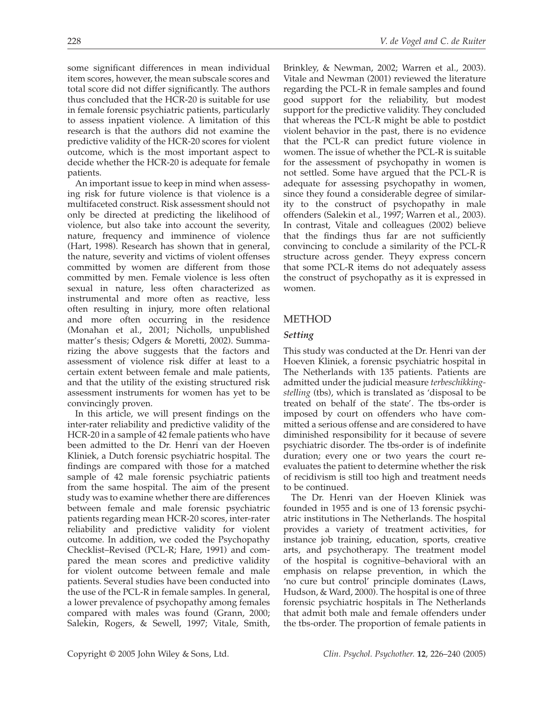some significant differences in mean individual item scores, however, the mean subscale scores and total score did not differ significantly. The authors thus concluded that the HCR-20 is suitable for use in female forensic psychiatric patients, particularly to assess inpatient violence. A limitation of this research is that the authors did not examine the predictive validity of the HCR-20 scores for violent outcome, which is the most important aspect to decide whether the HCR-20 is adequate for female patients.

An important issue to keep in mind when assessing risk for future violence is that violence is a multifaceted construct. Risk assessment should not only be directed at predicting the likelihood of violence, but also take into account the severity, nature, frequency and imminence of violence (Hart, 1998). Research has shown that in general, the nature, severity and victims of violent offenses committed by women are different from those committed by men. Female violence is less often sexual in nature, less often characterized as instrumental and more often as reactive, less often resulting in injury, more often relational and more often occurring in the residence (Monahan et al., 2001; Nicholls, unpublished matter's thesis; Odgers & Moretti, 2002). Summarizing the above suggests that the factors and assessment of violence risk differ at least to a certain extent between female and male patients, and that the utility of the existing structured risk assessment instruments for women has yet to be convincingly proven.

In this article, we will present findings on the inter-rater reliability and predictive validity of the HCR-20 in a sample of 42 female patients who have been admitted to the Dr. Henri van der Hoeven Kliniek, a Dutch forensic psychiatric hospital. The findings are compared with those for a matched sample of 42 male forensic psychiatric patients from the same hospital. The aim of the present study was to examine whether there are differences between female and male forensic psychiatric patients regarding mean HCR-20 scores, inter-rater reliability and predictive validity for violent outcome. In addition, we coded the Psychopathy Checklist–Revised (PCL-R; Hare, 1991) and compared the mean scores and predictive validity for violent outcome between female and male patients. Several studies have been conducted into the use of the PCL-R in female samples. In general, a lower prevalence of psychopathy among females compared with males was found (Grann, 2000; Salekin, Rogers, & Sewell, 1997; Vitale, Smith,

Brinkley, & Newman, 2002; Warren et al., 2003). Vitale and Newman (2001) reviewed the literature regarding the PCL-R in female samples and found good support for the reliability, but modest support for the predictive validity. They concluded that whereas the PCL-R might be able to postdict violent behavior in the past, there is no evidence that the PCL-R can predict future violence in women. The issue of whether the PCL-R is suitable for the assessment of psychopathy in women is not settled. Some have argued that the PCL-R is adequate for assessing psychopathy in women, since they found a considerable degree of similarity to the construct of psychopathy in male offenders (Salekin et al., 1997; Warren et al., 2003). In contrast, Vitale and colleagues (2002) believe that the findings thus far are not sufficiently convincing to conclude a similarity of the PCL-R structure across gender. Theyy express concern that some PCL-R items do not adequately assess the construct of psychopathy as it is expressed in women.

# METHOD

## *Setting*

This study was conducted at the Dr. Henri van der Hoeven Kliniek, a forensic psychiatric hospital in The Netherlands with 135 patients. Patients are admitted under the judicial measure *terbeschikkingstelling* (tbs), which is translated as 'disposal to be treated on behalf of the state'. The tbs-order is imposed by court on offenders who have committed a serious offense and are considered to have diminished responsibility for it because of severe psychiatric disorder. The tbs-order is of indefinite duration; every one or two years the court reevaluates the patient to determine whether the risk of recidivism is still too high and treatment needs to be continued.

The Dr. Henri van der Hoeven Kliniek was founded in 1955 and is one of 13 forensic psychiatric institutions in The Netherlands. The hospital provides a variety of treatment activities, for instance job training, education, sports, creative arts, and psychotherapy. The treatment model of the hospital is cognitive–behavioral with an emphasis on relapse prevention, in which the 'no cure but control' principle dominates (Laws, Hudson, & Ward, 2000). The hospital is one of three forensic psychiatric hospitals in The Netherlands that admit both male and female offenders under the tbs-order. The proportion of female patients in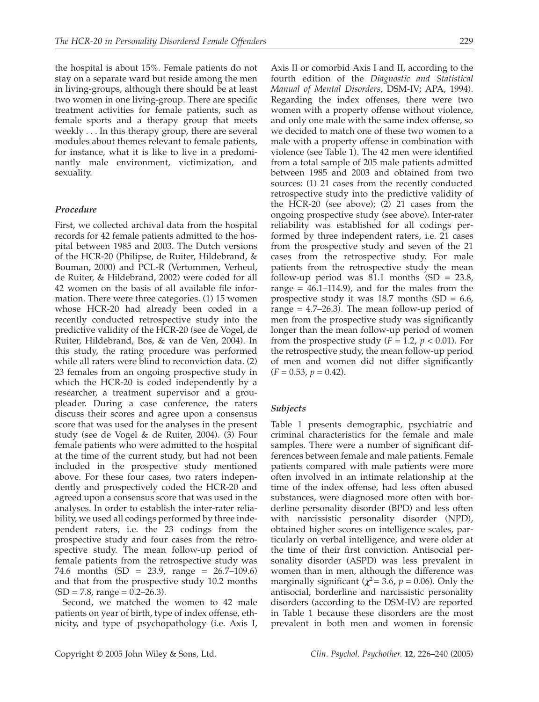the hospital is about 15%. Female patients do not stay on a separate ward but reside among the men in living-groups, although there should be at least two women in one living-group. There are specific treatment activities for female patients, such as female sports and a therapy group that meets weekly . . . In this therapy group, there are several modules about themes relevant to female patients, for instance, what it is like to live in a predominantly male environment, victimization, and sexuality.

## *Procedure*

First, we collected archival data from the hospital records for 42 female patients admitted to the hospital between 1985 and 2003. The Dutch versions of the HCR-20 (Philipse, de Ruiter, Hildebrand, & Bouman, 2000) and PCL-R (Vertommen, Verheul, de Ruiter, & Hildebrand, 2002) were coded for all 42 women on the basis of all available file information. There were three categories. (1) 15 women whose HCR-20 had already been coded in a recently conducted retrospective study into the predictive validity of the HCR-20 (see de Vogel, de Ruiter, Hildebrand, Bos, & van de Ven, 2004). In this study, the rating procedure was performed while all raters were blind to reconviction data. (2) 23 females from an ongoing prospective study in which the HCR-20 is coded independently by a researcher, a treatment supervisor and a groupleader. During a case conference, the raters discuss their scores and agree upon a consensus score that was used for the analyses in the present study (see de Vogel & de Ruiter, 2004). (3) Four female patients who were admitted to the hospital at the time of the current study, but had not been included in the prospective study mentioned above. For these four cases, two raters independently and prospectively coded the HCR-20 and agreed upon a consensus score that was used in the analyses. In order to establish the inter-rater reliability, we used all codings performed by three independent raters, i.e. the 23 codings from the prospective study and four cases from the retrospective study. The mean follow-up period of female patients from the retrospective study was 74.6 months (SD = 23.9, range = 26.7–109.6) and that from the prospective study 10.2 months  $(SD = 7.8, \text{ range} = 0.2 - 26.3).$ 

Second, we matched the women to 42 male patients on year of birth, type of index offense, ethnicity, and type of psychopathology (i.e. Axis I,

Axis II or comorbid Axis I and II, according to the fourth edition of the *Diagnostic and Statistical Manual of Mental Disorders*, DSM-IV; APA, 1994). Regarding the index offenses, there were two women with a property offense without violence, and only one male with the same index offense, so we decided to match one of these two women to a male with a property offense in combination with violence (see Table 1). The 42 men were identified from a total sample of 205 male patients admitted between 1985 and 2003 and obtained from two sources: (1) 21 cases from the recently conducted retrospective study into the predictive validity of the HCR-20 (see above); (2) 21 cases from the ongoing prospective study (see above). Inter-rater reliability was established for all codings performed by three independent raters, i.e. 21 cases from the prospective study and seven of the 21 cases from the retrospective study. For male patients from the retrospective study the mean follow-up period was  $81.1$  months  $(SD = 23.8,$ range  $= 46.1 - 114.9$ , and for the males from the prospective study it was  $18.7$  months  $(SD = 6.6)$ , range  $= 4.7 - 26.3$ ). The mean follow-up period of men from the prospective study was significantly longer than the mean follow-up period of women from the prospective study  $(F = 1.2, p < 0.01)$ . For the retrospective study, the mean follow-up period of men and women did not differ significantly  $(F = 0.53, p = 0.42).$ 

## *Subjects*

Table 1 presents demographic, psychiatric and criminal characteristics for the female and male samples. There were a number of significant differences between female and male patients. Female patients compared with male patients were more often involved in an intimate relationship at the time of the index offense, had less often abused substances, were diagnosed more often with borderline personality disorder (BPD) and less often with narcissistic personality disorder (NPD), obtained higher scores on intelligence scales, particularly on verbal intelligence, and were older at the time of their first conviction. Antisocial personality disorder (ASPD) was less prevalent in women than in men, although the difference was marginally significant ( $\chi^2$  = 3.6, *p* = 0.06). Only the antisocial, borderline and narcissistic personality disorders (according to the DSM-IV) are reported in Table 1 because these disorders are the most prevalent in both men and women in forensic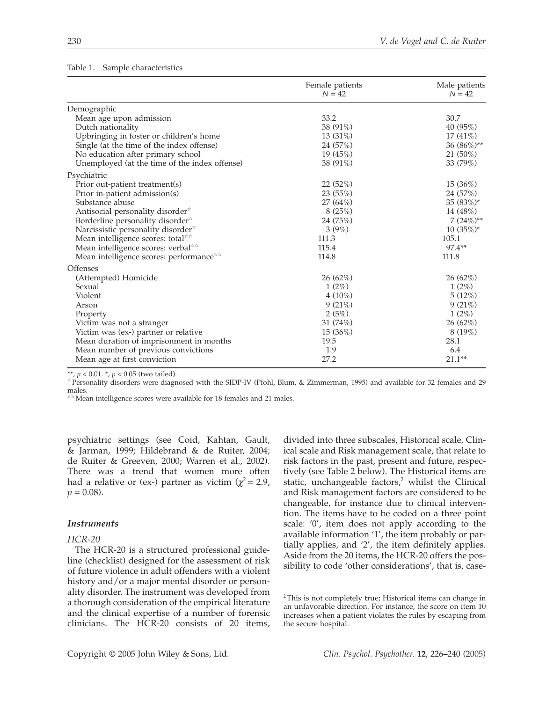| Table 1. |  |  |  |  | Sample characteristics |
|----------|--|--|--|--|------------------------|
|----------|--|--|--|--|------------------------|

|                                                | Female patients<br>$N = 42$ | Male patients<br>$N = 42$ |
|------------------------------------------------|-----------------------------|---------------------------|
| Demographic                                    |                             |                           |
| Mean age upon admission                        | 33.2                        | 30.7                      |
| Dutch nationality                              | 38 (91%)                    | 40 (95%)                  |
| Upbringing in foster or children's home        | 13 (31%)                    | $17(41\%)$                |
| Single (at the time of the index offense)      | 24 (57%)                    | 36 (86%)**                |
| No education after primary school              | 19 (45%)                    | 21 (50%)                  |
| Unemployed (at the time of the index offense)  | 38 (91%)                    | 33 (79%)                  |
| Psychiatric                                    |                             |                           |
| Prior out-patient treatment(s)                 | 22 (52%)                    | $15(36\%)$                |
| Prior in-patient admission(s)                  | 23(55%)                     | 24 (57%)                  |
| Substance abuse                                | $27(64\%)$                  | $35(83%)^*$               |
| Antisocial personality disorder*               | 8(25%)                      | 14 (48%)                  |
| Borderline personality disorder*               | 24 (75%)                    | 7 $(24%)$ **              |
| Narcissistic personality disorder*             | 3(9%)                       | $10(35\%)^*$              |
| Mean intelligence scores: total**              | 111.3                       | 105.1                     |
| Mean intelligence scores: verbal <sup>**</sup> | 115.4                       | 97.4**                    |
| Mean intelligence scores: performance**        | 114.8                       | 111.8                     |
| <b>Offenses</b>                                |                             |                           |
| (Attempted) Homicide                           | 26(62%)                     | 26(62%)                   |
| Sexual                                         | $1(2\%)$                    | $1(2\%)$                  |
| Violent                                        | $4(10\%)$                   | 5(12%)                    |
| Arson                                          | 9(21%)                      | 9(21%)                    |
| Property                                       | 2(5%)                       | $1(2\%)$                  |
| Victim was not a stranger                      | 31 (74%)                    | 26 (62%)                  |
| Victim was (ex-) partner or relative           | 15(36%)                     | 8(19%)                    |
| Mean duration of imprisonment in months        | 19.5                        | 28.1                      |
| Mean number of previous convictions            | 1.9                         | 6.4                       |
| Mean age at first conviction                   | 27.2                        | $21.1**$                  |

\*\*,  $p < 0.01$ . \*,  $p < 0.05$  (two tailed).

\*Personality disorders were diagnosed with the SIDP-IV (Pfohl, Blum, & Zimmerman, 1995) and available for 32 females and 29 males.

ste -Mean intelligence scores were available for 18 females and 21 males.

psychiatric settings (see Coid, Kahtan, Gault, & Jarman, 1999; Hildebrand & de Ruiter, 2004; de Ruiter & Greeven, 2000; Warren et al., 2002). There was a trend that women more often had a relative or (ex-) partner as victim ( $\chi^2$  = 2.9,  $p = 0.08$ .

## *Instruments*

#### *HCR-20*

The HCR-20 is a structured professional guideline (checklist) designed for the assessment of risk of future violence in adult offenders with a violent history and/or a major mental disorder or personality disorder. The instrument was developed from a thorough consideration of the empirical literature and the clinical expertise of a number of forensic clinicians. The HCR-20 consists of 20 items, divided into three subscales, Historical scale, Clinical scale and Risk management scale, that relate to risk factors in the past, present and future, respectively (see Table 2 below). The Historical items are static, unchangeable factors, $2$  whilst the Clinical and Risk management factors are considered to be changeable, for instance due to clinical intervention. The items have to be coded on a three point scale: '0', item does not apply according to the available information '1', the item probably or partially applies, and '2', the item definitely applies. Aside from the 20 items, the HCR-20 offers the possibility to code 'other considerations', that is, case-

<sup>&</sup>lt;sup>2</sup>This is not completely true; Historical items can change in an unfavorable direction. For instance, the score on item 10 increases when a patient violates the rules by escaping from the secure hospital.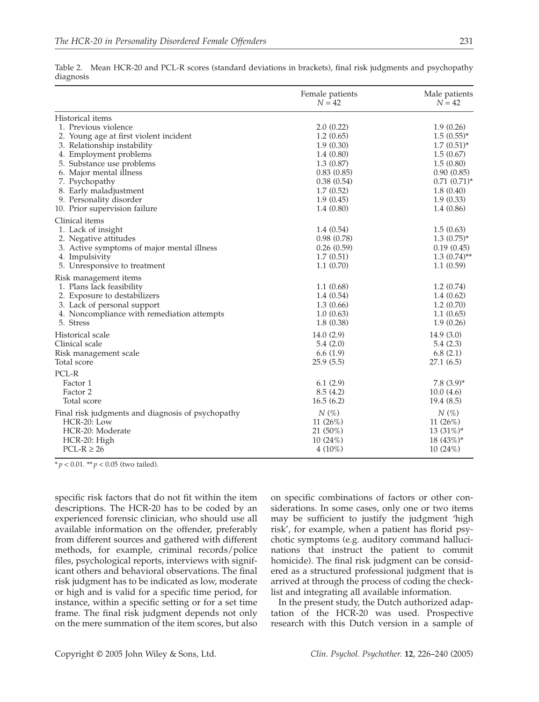|                                                   | Female patients<br>$N = 42$ | Male patients<br>$N = 42$ |
|---------------------------------------------------|-----------------------------|---------------------------|
| <b>Historical</b> items                           |                             |                           |
| 1. Previous violence                              | 2.0(0.22)                   | 1.9(0.26)                 |
| 2. Young age at first violent incident            | 1.2(0.65)                   | $1.5(0.55)^*$             |
| 3. Relationship instability                       | 1.9(0.30)                   | $1.7(0.51)^{*}$           |
| 4. Employment problems                            | 1.4(0.80)                   | 1.5(0.67)                 |
| 5. Substance use problems                         | 1.3(0.87)                   | 1.5(0.80)                 |
| 6. Major mental illness                           | 0.83(0.85)                  | 0.90(0.85)                |
| 7. Psychopathy                                    | 0.38(0.54)                  | $0.71(0.71)^*$            |
| 8. Early maladjustment                            | 1.7(0.52)                   | 1.8(0.40)                 |
| 9. Personality disorder                           | 1.9(0.45)                   | 1.9(0.33)                 |
| 10. Prior supervision failure                     | 1.4(0.80)                   | 1.4(0.86)                 |
| Clinical items                                    |                             |                           |
| 1. Lack of insight                                | 1.4(0.54)                   | 1.5(0.63)                 |
| 2. Negative attitudes                             | 0.98(0.78)                  | $1.3(0.75)^{*}$           |
| 3. Active symptoms of major mental illness        | 0.26(0.59)                  | 0.19(0.45)                |
| 4. Impulsivity                                    | 1.7(0.51)                   | $1.3(0.74)$ **            |
| 5. Unresponsive to treatment                      | 1.1(0.70)                   | 1.1(0.59)                 |
| Risk management items                             |                             |                           |
| 1. Plans lack feasibility                         | 1.1(0.68)                   | 1.2(0.74)                 |
| 2. Exposure to destabilizers                      | 1.4(0.54)                   | 1.4(0.62)                 |
| 3. Lack of personal support                       | 1.3(0.66)                   | 1.2(0.70)                 |
| 4. Noncompliance with remediation attempts        | 1.0(0.63)                   | 1.1(0.65)                 |
| 5. Stress                                         | 1.8(0.38)                   | 1.9(0.26)                 |
| Historical scale                                  | 14.0(2.9)                   | 14.9(3.0)                 |
| Clinical scale                                    | 5.4(2.0)                    | 5.4(2.3)                  |
| Risk management scale                             | 6.6(1.9)                    | 6.8(2.1)                  |
| Total score                                       | 25.9(5.5)                   | 27.1(6.5)                 |
| PCL-R                                             |                             |                           |
| Factor 1                                          | 6.1(2.9)                    | $7.8(3.9)$ *              |
| Factor 2                                          | 8.5(4.2)                    | 10.0(4.6)                 |
| Total score                                       | 16.5(6.2)                   | 19.4(8.5)                 |
|                                                   |                             |                           |
| Final risk judgments and diagnosis of psychopathy | $N(\%)$                     | $N(\%)$                   |
| HCR-20: Low                                       | 11 $(26%)$                  | $11(26\%)$                |
| HCR-20: Moderate                                  | 21 (50%)                    | $13(31\%)^*$              |
| HCR-20: High<br>$PCL-R \geq 26$                   | 10(24%)                     | $18(43\%)^*$              |
|                                                   | $4(10\%)$                   | 10(24%)                   |

Table 2. Mean HCR-20 and PCL-R scores (standard deviations in brackets), final risk judgments and psychopathy diagnosis

\* *p* < 0.01. \*\* *p* < 0.05 (two tailed).

specific risk factors that do not fit within the item descriptions. The HCR-20 has to be coded by an experienced forensic clinician, who should use all available information on the offender, preferably from different sources and gathered with different methods, for example, criminal records/police files, psychological reports, interviews with significant others and behavioral observations. The final risk judgment has to be indicated as low, moderate or high and is valid for a specific time period, for instance, within a specific setting or for a set time frame. The final risk judgment depends not only on the mere summation of the item scores, but also

on specific combinations of factors or other considerations. In some cases, only one or two items may be sufficient to justify the judgment 'high risk', for example, when a patient has florid psychotic symptoms (e.g. auditory command hallucinations that instruct the patient to commit homicide). The final risk judgment can be considered as a structured professional judgment that is arrived at through the process of coding the checklist and integrating all available information.

In the present study, the Dutch authorized adaptation of the HCR-20 was used. Prospective research with this Dutch version in a sample of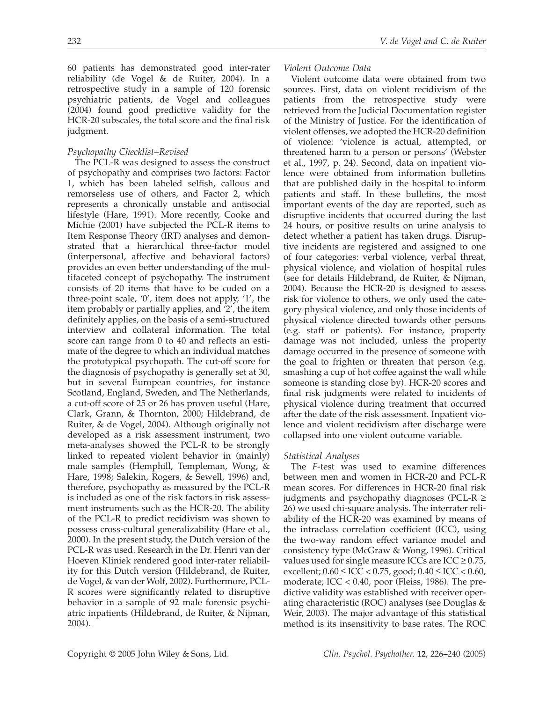60 patients has demonstrated good inter-rater reliability (de Vogel & de Ruiter, 2004). In a retrospective study in a sample of 120 forensic psychiatric patients, de Vogel and colleagues (2004) found good predictive validity for the HCR-20 subscales, the total score and the final risk judgment.

# *Psychopathy Checklist–Revised*

The PCL-R was designed to assess the construct of psychopathy and comprises two factors: Factor 1, which has been labeled selfish, callous and remorseless use of others, and Factor 2, which represents a chronically unstable and antisocial lifestyle (Hare, 1991). More recently, Cooke and Michie (2001) have subjected the PCL-R items to Item Response Theory (IRT) analyses and demonstrated that a hierarchical three-factor model (interpersonal, affective and behavioral factors) provides an even better understanding of the multifaceted concept of psychopathy. The instrument consists of 20 items that have to be coded on a three-point scale, '0', item does not apply, '1', the item probably or partially applies, and '2', the item definitely applies, on the basis of a semi-structured interview and collateral information. The total score can range from 0 to 40 and reflects an estimate of the degree to which an individual matches the prototypical psychopath. The cut-off score for the diagnosis of psychopathy is generally set at 30, but in several European countries, for instance Scotland, England, Sweden, and The Netherlands, a cut-off score of 25 or 26 has proven useful (Hare, Clark, Grann, & Thornton, 2000; Hildebrand, de Ruiter, & de Vogel, 2004). Although originally not developed as a risk assessment instrument, two meta-analyses showed the PCL-R to be strongly linked to repeated violent behavior in (mainly) male samples (Hemphill, Templeman, Wong, & Hare, 1998; Salekin, Rogers, & Sewell, 1996) and, therefore, psychopathy as measured by the PCL-R is included as one of the risk factors in risk assessment instruments such as the HCR-20. The ability of the PCL-R to predict recidivism was shown to possess cross-cultural generalizability (Hare et al., 2000). In the present study, the Dutch version of the PCL-R was used. Research in the Dr. Henri van der Hoeven Kliniek rendered good inter-rater reliability for this Dutch version (Hildebrand, de Ruiter, de Vogel, & van der Wolf, 2002). Furthermore, PCL-R scores were significantly related to disruptive behavior in a sample of 92 male forensic psychiatric inpatients (Hildebrand, de Ruiter, & Nijman, 2004).

# *Violent Outcome Data*

Violent outcome data were obtained from two sources. First, data on violent recidivism of the patients from the retrospective study were retrieved from the Judicial Documentation register of the Ministry of Justice. For the identification of violent offenses, we adopted the HCR-20 definition of violence: 'violence is actual, attempted, or threatened harm to a person or persons' (Webster et al., 1997, p. 24). Second, data on inpatient violence were obtained from information bulletins that are published daily in the hospital to inform patients and staff. In these bulletins, the most important events of the day are reported, such as disruptive incidents that occurred during the last 24 hours, or positive results on urine analysis to detect whether a patient has taken drugs. Disruptive incidents are registered and assigned to one of four categories: verbal violence, verbal threat, physical violence, and violation of hospital rules (see for details Hildebrand, de Ruiter, & Nijman, 2004). Because the HCR-20 is designed to assess risk for violence to others, we only used the category physical violence, and only those incidents of physical violence directed towards other persons (e.g. staff or patients). For instance, property damage was not included, unless the property damage occurred in the presence of someone with the goal to frighten or threaten that person (e.g. smashing a cup of hot coffee against the wall while someone is standing close by). HCR-20 scores and final risk judgments were related to incidents of physical violence during treatment that occurred after the date of the risk assessment. Inpatient violence and violent recidivism after discharge were collapsed into one violent outcome variable.

## *Statistical Analyses*

The *F*-test was used to examine differences between men and women in HCR-20 and PCL-R mean scores. For differences in HCR-20 final risk judgments and psychopathy diagnoses (PCL-R ≥ 26) we used chi-square analysis. The interrater reliability of the HCR-20 was examined by means of the intraclass correlation coefficient (ICC), using the two-way random effect variance model and consistency type (McGraw & Wong, 1996). Critical values used for single measure ICCs are ICC  $\geq 0.75$ ,  $\alpha$  excellent;  $0.60 \leq$  ICC < 0.75, good;  $0.40 \leq$  ICC < 0.60, moderate; ICC < 0.40, poor (Fleiss, 1986). The predictive validity was established with receiver operating characteristic (ROC) analyses (see Douglas & Weir, 2003). The major advantage of this statistical method is its insensitivity to base rates. The ROC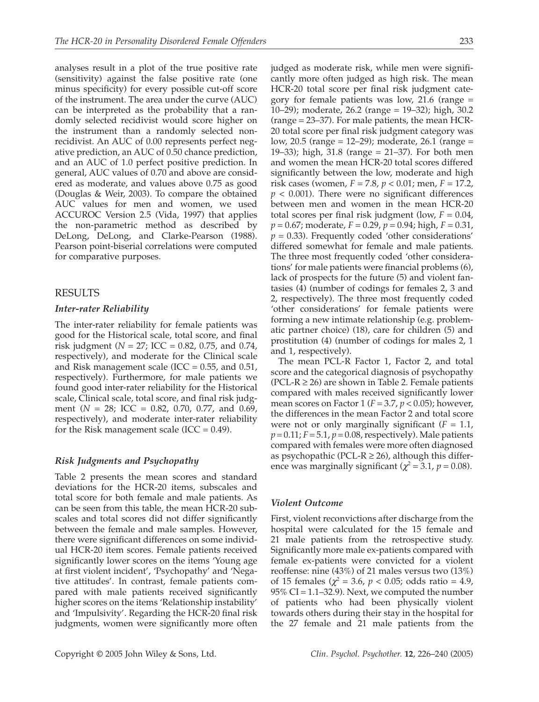analyses result in a plot of the true positive rate (sensitivity) against the false positive rate (one minus specificity) for every possible cut-off score of the instrument. The area under the curve (AUC) can be interpreted as the probability that a randomly selected recidivist would score higher on the instrument than a randomly selected nonrecidivist. An AUC of 0.00 represents perfect negative prediction, an AUC of 0.50 chance prediction, and an AUC of 1.0 perfect positive prediction. In general, AUC values of 0.70 and above are considered as moderate, and values above 0.75 as good (Douglas & Weir, 2003). To compare the obtained AUC values for men and women, we used ACCUROC Version 2.5 (Vida, 1997) that applies the non-parametric method as described by DeLong, DeLong, and Clarke-Pearson (1988). Pearson point-biserial correlations were computed for comparative purposes.

## RESULTS

## *Inter-rater Reliability*

The inter-rater reliability for female patients was good for the Historical scale, total score, and final risk judgment (*N* = 27; ICC = 0.82, 0.75, and 0.74, respectively), and moderate for the Clinical scale and Risk management scale (ICC =  $0.55$ , and  $0.51$ , respectively). Furthermore, for male patients we found good inter-rater reliability for the Historical scale, Clinical scale, total score, and final risk judgment (*N* = 28; ICC = 0.82, 0.70, 0.77, and 0.69, respectively), and moderate inter-rater reliability for the Risk management scale (ICC =  $0.49$ ).

## *Risk Judgments and Psychopathy*

Table 2 presents the mean scores and standard deviations for the HCR-20 items, subscales and total score for both female and male patients. As can be seen from this table, the mean HCR-20 subscales and total scores did not differ significantly between the female and male samples. However, there were significant differences on some individual HCR-20 item scores. Female patients received significantly lower scores on the items 'Young age at first violent incident', 'Psychopathy' and 'Negative attitudes'. In contrast, female patients compared with male patients received significantly higher scores on the items 'Relationship instability' and 'Impulsivity'. Regarding the HCR-20 final risk judgments, women were significantly more often

judged as moderate risk, while men were significantly more often judged as high risk. The mean HCR-20 total score per final risk judgment category for female patients was low, 21.6 (range = 10–29); moderate, 26.2 (range = 19–32); high, 30.2 (range = 23–37). For male patients, the mean HCR-20 total score per final risk judgment category was low, 20.5 (range = 12–29); moderate, 26.1 (range = 19–33); high, 31.8 (range = 21–37). For both men and women the mean HCR-20 total scores differed significantly between the low, moderate and high risk cases (women, *F* = 7.8, *p* < 0.01; men, *F* = 17.2,  $p < 0.001$ ). There were no significant differences between men and women in the mean HCR-20 total scores per final risk judgment (low,  $F = 0.04$ , *p* = 0.67; moderate, *F* = 0.29, *p* = 0.94; high, *F* = 0.31,  $p = 0.33$ ). Frequently coded 'other considerations' differed somewhat for female and male patients. The three most frequently coded 'other considerations' for male patients were financial problems (6), lack of prospects for the future (5) and violent fantasies (4) (number of codings for females 2, 3 and 2, respectively). The three most frequently coded 'other considerations' for female patients were forming a new intimate relationship (e.g. problematic partner choice) (18), care for children (5) and prostitution (4) (number of codings for males 2, 1 and 1, respectively).

The mean PCL-R Factor 1, Factor 2, and total score and the categorical diagnosis of psychopathy  $(PCL-R \geq 26)$  are shown in Table 2. Female patients compared with males received significantly lower mean scores on Factor 1 (*F* = 3.7, *p* < 0.05); however, the differences in the mean Factor 2 and total score were not or only marginally significant  $(F = 1.1)$ ,  $p = 0.11; F = 5.1, p = 0.08$ , respectively). Male patients compared with females were more often diagnosed as psychopathic (PCL-R  $\geq$  26), although this difference was marginally significant ( $\chi^2$  = 3.1, *p* = 0.08).

#### *Violent Outcome*

First, violent reconvictions after discharge from the hospital were calculated for the 15 female and 21 male patients from the retrospective study. Significantly more male ex-patients compared with female ex-patients were convicted for a violent reoffense: nine (43%) of 21 males versus two (13%) of 15 females ( $\chi^2$  = 3.6,  $p < 0.05$ ; odds ratio = 4.9,  $95\%$  CI = 1.1–32.9). Next, we computed the number of patients who had been physically violent towards others during their stay in the hospital for the 27 female and 21 male patients from the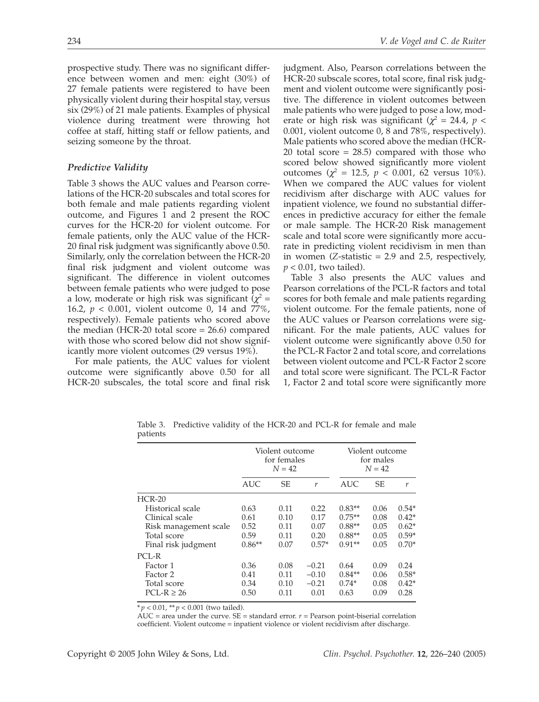prospective study. There was no significant difference between women and men: eight (30%) of 27 female patients were registered to have been physically violent during their hospital stay, versus six (29%) of 21 male patients. Examples of physical violence during treatment were throwing hot coffee at staff, hitting staff or fellow patients, and seizing someone by the throat.

## *Predictive Validity*

Table 3 shows the AUC values and Pearson correlations of the HCR-20 subscales and total scores for both female and male patients regarding violent outcome, and Figures 1 and 2 present the ROC curves for the HCR-20 for violent outcome. For female patients, only the AUC value of the HCR-20 final risk judgment was significantly above 0.50. Similarly, only the correlation between the HCR-20 final risk judgment and violent outcome was significant. The difference in violent outcomes between female patients who were judged to pose a low, moderate or high risk was significant ( $\chi^2$  = 16.2, *p* < 0.001, violent outcome 0, 14 and 77%, respectively). Female patients who scored above the median (HCR-20 total score = 26.6) compared with those who scored below did not show significantly more violent outcomes (29 versus 19%).

For male patients, the AUC values for violent outcome were significantly above 0.50 for all HCR-20 subscales, the total score and final risk

judgment. Also, Pearson correlations between the HCR-20 subscale scores, total score, final risk judgment and violent outcome were significantly positive. The difference in violent outcomes between male patients who were judged to pose a low, moderate or high risk was significant ( $\chi^2$  = 24.4, *p* < 0.001, violent outcome 0, 8 and 78%, respectively). Male patients who scored above the median (HCR-20 total score = 28.5) compared with those who scored below showed significantly more violent outcomes  $(\chi^2 = 12.5, p < 0.001, 62$  versus 10%). When we compared the AUC values for violent recidivism after discharge with AUC values for inpatient violence, we found no substantial differences in predictive accuracy for either the female or male sample. The HCR-20 Risk management scale and total score were significantly more accurate in predicting violent recidivism in men than in women (*Z*-statistic = 2.9 and 2.5, respectively, *p* < 0.01, two tailed).

Table 3 also presents the AUC values and Pearson correlations of the PCL-R factors and total scores for both female and male patients regarding violent outcome. For the female patients, none of the AUC values or Pearson correlations were significant. For the male patients, AUC values for violent outcome were significantly above 0.50 for the PCL-R Factor 2 and total score, and correlations between violent outcome and PCL-R Factor 2 score and total score were significant. The PCL-R Factor 1, Factor 2 and total score were significantly more

|                       | Violent outcome<br>for females<br>$N = 42$ |      |         | Violent outcome<br>for males<br>$N = 42$ |      |         |
|-----------------------|--------------------------------------------|------|---------|------------------------------------------|------|---------|
|                       | <b>AUC</b>                                 | SE.  | r       | AUC.                                     | SE.  | r       |
| $HCR-20$              |                                            |      |         |                                          |      |         |
| Historical scale      | 0.63                                       | 0.11 | 0.22    | $0.83**$                                 | 0.06 | $0.54*$ |
| Clinical scale        | 0.61                                       | 0.10 | 0.17    | $0.75**$                                 | 0.08 | $0.42*$ |
| Risk management scale | 0.52                                       | 0.11 | 0.07    | $0.88**$                                 | 0.05 | $0.62*$ |
| Total score           | 0.59                                       | 0.11 | 0.20    | $0.88**$                                 | 0.05 | $0.59*$ |
| Final risk judgment   | $0.86**$                                   | 0.07 | $0.57*$ | $0.91**$                                 | 0.05 | $0.70*$ |
| PCL-R                 |                                            |      |         |                                          |      |         |
| Factor 1              | 0.36                                       | 0.08 | $-0.21$ | 0.64                                     | 0.09 | 0.24    |
| Factor 2              | 0.41                                       | 0.11 | $-0.10$ | $0.84**$                                 | 0.06 | $0.58*$ |
| Total score           | 0.34                                       | 0.10 | $-0.21$ | $0.74*$                                  | 0.08 | $0.42*$ |
| $PCL-R \geq 26$       | 0.50                                       | 0.11 | 0.01    | 0.63                                     | 0.09 | 0.28    |

Table 3. Predictive validity of the HCR-20 and PCL-R for female and male patients

\* *p* < 0.01, \*\* *p* < 0.001 (two tailed).

 $AUC = area$  under the curve.  $SE = standard$  error.  $r = Pearson$  point-biserial correlation coefficient. Violent outcome = inpatient violence or violent recidivism after discharge.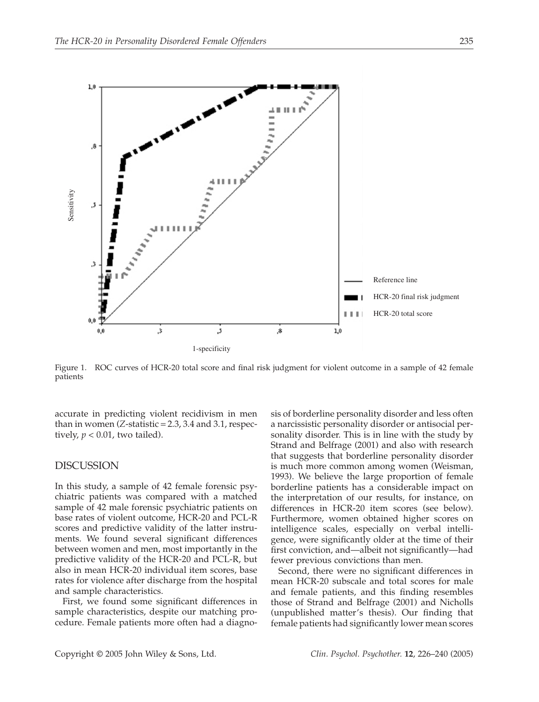

Figure 1. ROC curves of HCR-20 total score and final risk judgment for violent outcome in a sample of 42 female patients

accurate in predicting violent recidivism in men than in women  $(Z$ -statistic = 2.3, 3.4 and 3.1, respectively,  $p < 0.01$ , two tailed).

## DISCUSSION

In this study, a sample of 42 female forensic psychiatric patients was compared with a matched sample of 42 male forensic psychiatric patients on base rates of violent outcome, HCR-20 and PCL-R scores and predictive validity of the latter instruments. We found several significant differences between women and men, most importantly in the predictive validity of the HCR-20 and PCL-R, but also in mean HCR-20 individual item scores, base rates for violence after discharge from the hospital and sample characteristics.

First, we found some significant differences in sample characteristics, despite our matching procedure. Female patients more often had a diagnosis of borderline personality disorder and less often a narcissistic personality disorder or antisocial personality disorder. This is in line with the study by Strand and Belfrage (2001) and also with research that suggests that borderline personality disorder is much more common among women (Weisman, 1993). We believe the large proportion of female borderline patients has a considerable impact on the interpretation of our results, for instance, on differences in HCR-20 item scores (see below). Furthermore, women obtained higher scores on intelligence scales, especially on verbal intelligence, were significantly older at the time of their first conviction, and—albeit not significantly—had fewer previous convictions than men.

Second, there were no significant differences in mean HCR-20 subscale and total scores for male and female patients, and this finding resembles those of Strand and Belfrage (2001) and Nicholls (unpublished matter's thesis). Our finding that female patients had significantly lower mean scores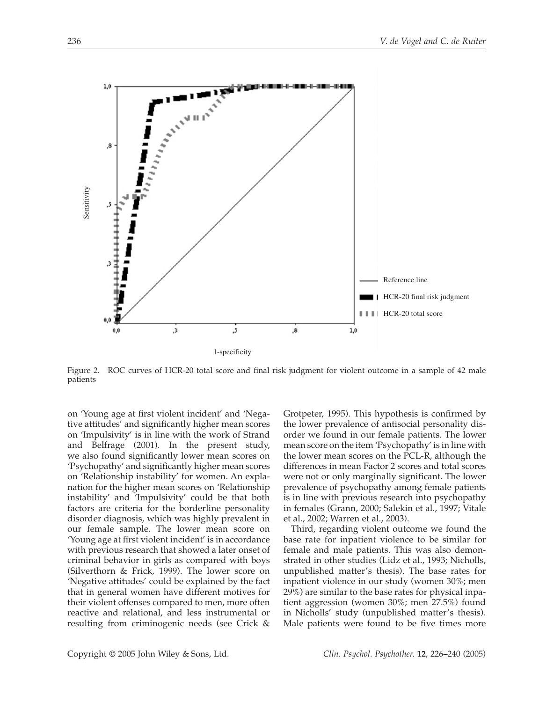

Figure 2. ROC curves of HCR-20 total score and final risk judgment for violent outcome in a sample of 42 male patients

on 'Young age at first violent incident' and 'Negative attitudes' and significantly higher mean scores on 'Impulsivity' is in line with the work of Strand and Belfrage (2001). In the present study, we also found significantly lower mean scores on 'Psychopathy' and significantly higher mean scores on 'Relationship instability' for women. An explanation for the higher mean scores on 'Relationship instability' and 'Impulsivity' could be that both factors are criteria for the borderline personality disorder diagnosis, which was highly prevalent in our female sample. The lower mean score on 'Young age at first violent incident' is in accordance with previous research that showed a later onset of criminal behavior in girls as compared with boys (Silverthorn & Frick, 1999). The lower score on 'Negative attitudes' could be explained by the fact that in general women have different motives for their violent offenses compared to men, more often reactive and relational, and less instrumental or resulting from criminogenic needs (see Crick & Grotpeter, 1995). This hypothesis is confirmed by the lower prevalence of antisocial personality disorder we found in our female patients. The lower mean score on the item 'Psychopathy' is in line with the lower mean scores on the PCL-R, although the differences in mean Factor 2 scores and total scores were not or only marginally significant. The lower prevalence of psychopathy among female patients is in line with previous research into psychopathy in females (Grann, 2000; Salekin et al., 1997; Vitale et al., 2002; Warren et al., 2003).

Third, regarding violent outcome we found the base rate for inpatient violence to be similar for female and male patients. This was also demonstrated in other studies (Lidz et al., 1993; Nicholls, unpublished matter's thesis). The base rates for inpatient violence in our study (women 30%; men 29%) are similar to the base rates for physical inpatient aggression (women 30%; men 27.5%) found in Nicholls' study (unpublished matter's thesis). Male patients were found to be five times more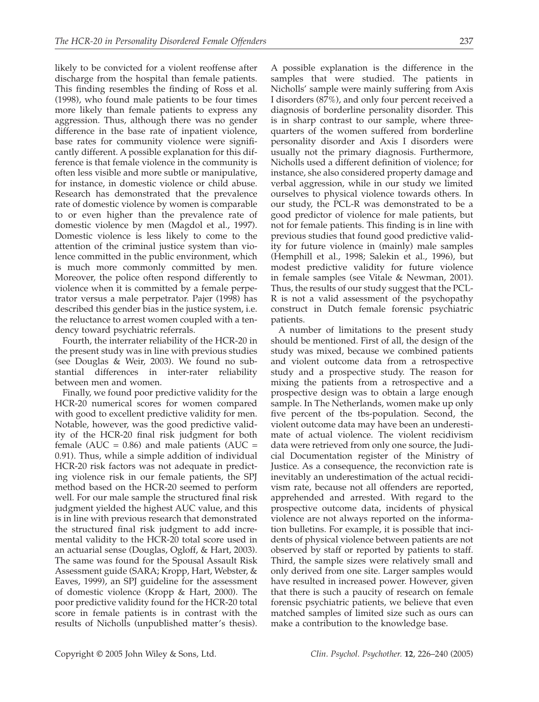likely to be convicted for a violent reoffense after discharge from the hospital than female patients. This finding resembles the finding of Ross et al. (1998), who found male patients to be four times more likely than female patients to express any aggression. Thus, although there was no gender difference in the base rate of inpatient violence, base rates for community violence were significantly different. A possible explanation for this difference is that female violence in the community is often less visible and more subtle or manipulative, for instance, in domestic violence or child abuse. Research has demonstrated that the prevalence rate of domestic violence by women is comparable to or even higher than the prevalence rate of domestic violence by men (Magdol et al., 1997). Domestic violence is less likely to come to the attention of the criminal justice system than violence committed in the public environment, which is much more commonly committed by men. Moreover, the police often respond differently to violence when it is committed by a female perpetrator versus a male perpetrator. Pajer (1998) has described this gender bias in the justice system, i.e. the reluctance to arrest women coupled with a tendency toward psychiatric referrals.

Fourth, the interrater reliability of the HCR-20 in the present study was in line with previous studies (see Douglas & Weir, 2003). We found no substantial differences in inter-rater reliability between men and women.

Finally, we found poor predictive validity for the HCR-20 numerical scores for women compared with good to excellent predictive validity for men. Notable, however, was the good predictive validity of the HCR-20 final risk judgment for both female (AUC =  $0.86$ ) and male patients (AUC = 0.91). Thus, while a simple addition of individual HCR-20 risk factors was not adequate in predicting violence risk in our female patients, the SPJ method based on the HCR-20 seemed to perform well. For our male sample the structured final risk judgment yielded the highest AUC value, and this is in line with previous research that demonstrated the structured final risk judgment to add incremental validity to the HCR-20 total score used in an actuarial sense (Douglas, Ogloff, & Hart, 2003). The same was found for the Spousal Assault Risk Assessment guide (SARA; Kropp, Hart, Webster, & Eaves, 1999), an SPJ guideline for the assessment of domestic violence (Kropp & Hart, 2000). The poor predictive validity found for the HCR-20 total score in female patients is in contrast with the results of Nicholls (unpublished matter's thesis).

A possible explanation is the difference in the samples that were studied. The patients in Nicholls' sample were mainly suffering from Axis I disorders (87%), and only four percent received a diagnosis of borderline personality disorder. This is in sharp contrast to our sample, where threequarters of the women suffered from borderline personality disorder and Axis I disorders were usually not the primary diagnosis. Furthermore, Nicholls used a different definition of violence; for instance, she also considered property damage and verbal aggression, while in our study we limited ourselves to physical violence towards others. In our study, the PCL-R was demonstrated to be a good predictor of violence for male patients, but not for female patients. This finding is in line with previous studies that found good predictive validity for future violence in (mainly) male samples (Hemphill et al., 1998; Salekin et al., 1996), but modest predictive validity for future violence in female samples (see Vitale & Newman, 2001). Thus, the results of our study suggest that the PCL-R is not a valid assessment of the psychopathy construct in Dutch female forensic psychiatric patients.

A number of limitations to the present study should be mentioned. First of all, the design of the study was mixed, because we combined patients and violent outcome data from a retrospective study and a prospective study. The reason for mixing the patients from a retrospective and a prospective design was to obtain a large enough sample. In The Netherlands, women make up only five percent of the tbs-population. Second, the violent outcome data may have been an underestimate of actual violence. The violent recidivism data were retrieved from only one source, the Judicial Documentation register of the Ministry of Justice. As a consequence, the reconviction rate is inevitably an underestimation of the actual recidivism rate, because not all offenders are reported, apprehended and arrested. With regard to the prospective outcome data, incidents of physical violence are not always reported on the information bulletins. For example, it is possible that incidents of physical violence between patients are not observed by staff or reported by patients to staff. Third, the sample sizes were relatively small and only derived from one site. Larger samples would have resulted in increased power. However, given that there is such a paucity of research on female forensic psychiatric patients, we believe that even matched samples of limited size such as ours can make a contribution to the knowledge base.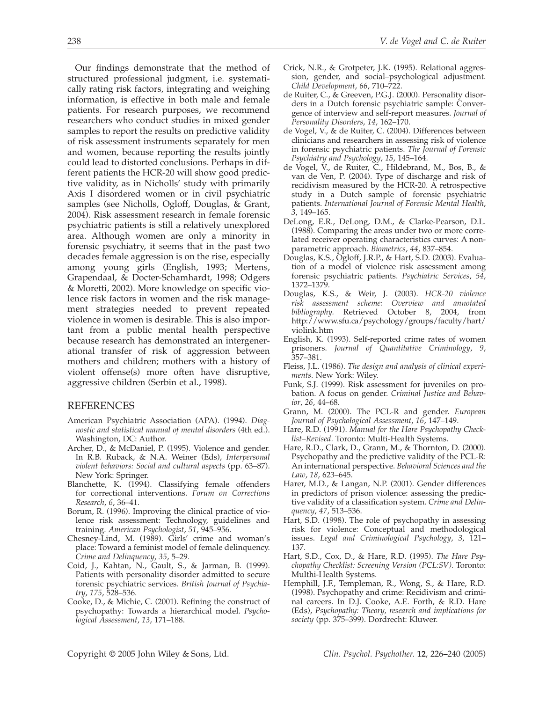Our findings demonstrate that the method of structured professional judgment, i.e. systematically rating risk factors, integrating and weighing information, is effective in both male and female patients. For research purposes, we recommend researchers who conduct studies in mixed gender samples to report the results on predictive validity of risk assessment instruments separately for men and women, because reporting the results jointly could lead to distorted conclusions. Perhaps in different patients the HCR-20 will show good predictive validity, as in Nicholls' study with primarily Axis I disordered women or in civil psychiatric samples (see Nicholls, Ogloff, Douglas, & Grant, 2004). Risk assessment research in female forensic psychiatric patients is still a relatively unexplored area. Although women are only a minority in forensic psychiatry, it seems that in the past two decades female aggression is on the rise, especially among young girls (English, 1993; Mertens, Grapendaal, & Docter-Schamhardt, 1998; Odgers & Moretti, 2002). More knowledge on specific violence risk factors in women and the risk management strategies needed to prevent repeated violence in women is desirable. This is also important from a public mental health perspective because research has demonstrated an intergenerational transfer of risk of aggression between mothers and children; mothers with a history of violent offense(s) more often have disruptive, aggressive children (Serbin et al., 1998).

## REFERENCES

- American Psychiatric Association (APA). (1994). *Diagnostic and statistical manual of mental disorders* (4th ed.). Washington, DC: Author.
- Archer, D., & McDaniel, P. (1995). Violence and gender. In R.B. Ruback, & N.A. Weiner (Eds), *Interpersonal violent behaviors: Social and cultural aspects* (pp. 63–87). New York: Springer.
- Blanchette, K. (1994). Classifying female offenders for correctional interventions. *Forum on Corrections Research*, *6*, 36–41.
- Borum, R. (1996). Improving the clinical practice of violence risk assessment: Technology, guidelines and training. *American Psychologist*, *51*, 945–956.
- Chesney-Lind, M. (1989). Girls' crime and woman's place: Toward a feminist model of female delinquency. *Crime and Delinquency*, *35*, 5–29.
- Coid, J., Kahtan, N., Gault, S., & Jarman, B. (1999). Patients with personality disorder admitted to secure forensic psychiatric services. *British Journal of Psychiatry*, *175*, 528–536.
- Cooke, D., & Michie, C. (2001). Refining the construct of psychopathy: Towards a hierarchical model. *Psychological Assessment*, *13*, 171–188.
- Crick, N.R., & Grotpeter, J.K. (1995). Relational aggression, gender, and social–psychological adjustment. *Child Development*, *66*, 710–722.
- de Ruiter, C., & Greeven, P.G.J. (2000). Personality disorders in a Dutch forensic psychiatric sample: Convergence of interview and self-report measures. *Journal of Personality Disorders*, *14*, 162–170.
- de Vogel, V., & de Ruiter, C. (2004). Differences between clinicians and researchers in assessing risk of violence in forensic psychiatric patients. *The Journal of Forensic Psychiatry and Psychology*, *15*, 145–164*.*
- de Vogel, V., de Ruiter, C., Hildebrand, M., Bos, B., & van de Ven, P. (2004). Type of discharge and risk of recidivism measured by the HCR-20. A retrospective study in a Dutch sample of forensic psychiatric patients. *International Journal of Forensic Mental Health*, *3*, 149–165*.*
- DeLong, E.R., DeLong, D.M., & Clarke-Pearson, D.L. (1988). Comparing the areas under two or more correlated receiver operating characteristics curves: A nonparametric approach. *Biometrics*, *44*, 837–854.
- Douglas, K.S., Ogloff, J.R.P., & Hart, S.D. (2003). Evaluation of a model of violence risk assessment among forensic psychiatric patients. *Psychiatric Services*, *54*, 1372–1379.
- Douglas, K.S., & Weir, J. (2003). *HCR-20 violence risk assessment scheme: Overview and annotated bibliography.* Retrieved October 8, 2004, from http://www.sfu.ca/psychology/groups/faculty/hart/ violink.htm
- English, K. (1993). Self-reported crime rates of women prisoners. *Journal of Quantitative Criminology*, *9*, 357–381.
- Fleiss, J.L. (1986). *The design and analysis of clinical experiments.* New York: Wiley.
- Funk, S.J. (1999). Risk assessment for juveniles on probation. A focus on gender. *Criminal Justice and Behavior*, *26*, 44–68.
- Grann, M. (2000). The PCL-R and gender. *European Journal of Psychological Assessment*, *16*, 147–149.
- Hare, R.D. (1991). *Manual for the Hare Psychopathy Checklist–Revised.* Toronto: Multi-Health Systems.
- Hare, R.D., Clark, D., Grann, M., & Thornton, D. (2000). Psychopathy and the predictive validity of the PCL-R: An international perspective. *Behavioral Sciences and the Law*, *18*, 623–645.
- Harer, M.D., & Langan, N.P. (2001). Gender differences in predictors of prison violence: assessing the predictive validity of a classification system. *Crime and Delinquency*, *47*, 513–536.
- Hart, S.D. (1998). The role of psychopathy in assessing risk for violence: Conceptual and methodological issues. *Legal and Criminological Psychology*, *3*, 121– 137.
- Hart, S.D., Cox, D., & Hare, R.D. (1995). *The Hare Psychopathy Checklist: Screening Version (PCL:SV).* Toronto: Multhi-Health Systems.
- Hemphill, J.F., Templeman, R., Wong, S., & Hare, R.D. (1998). Psychopathy and crime: Recidivism and criminal careers. In D.J. Cooke, A.E. Forth, & R.D. Hare (Eds), *Psychopathy: Theory, research and implications for society* (pp. 375–399). Dordrecht: Kluwer.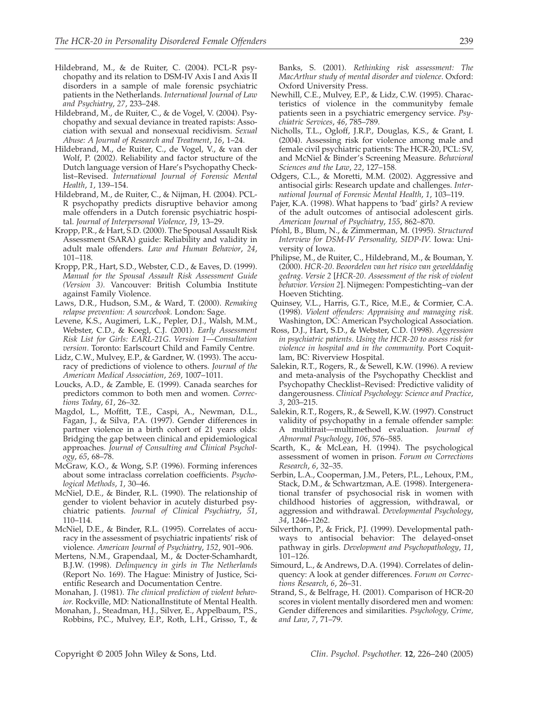- Hildebrand, M., & de Ruiter, C. (2004). PCL-R psychopathy and its relation to DSM-IV Axis I and Axis II disorders in a sample of male forensic psychiatric patients in the Netherlands. *International Journal of Law and Psychiatry*, *27*, 233–248*.*
- Hildebrand, M., de Ruiter, C., & de Vogel, V. (2004). Psychopathy and sexual deviance in treated rapists: Association with sexual and nonsexual recidivism. *Sexual Abuse: A Journal of Research and Treatment*, *16*, 1–24.
- Hildebrand, M., de Ruiter, C., de Vogel, V., & van der Wolf, P. (2002). Reliability and factor structure of the Dutch language version of Hare's Psychopathy Checklist–Revised. *International Journal of Forensic Mental Health*, *1*, 139–154.
- Hildebrand, M., de Ruiter, C., & Nijman, H. (2004). PCL-R psychopathy predicts disruptive behavior among male offenders in a Dutch forensic psychiatric hospital. *Journal of Interpersonal Violence*, *19*, 13–29.
- Kropp, P.R., & Hart, S.D. (2000). The Spousal Assault Risk Assessment (SARA) guide: Reliability and validity in adult male offenders. *Law and Human Behavior*, *24*, 101–118.
- Kropp, P.R., Hart, S.D., Webster, C.D., & Eaves, D. (1999). *Manual for the Spousal Assault Risk Assessment Guide (Version 3).* Vancouver: British Columbia Institute against Family Violence.
- Laws, D.R., Hudson, S.M., & Ward, T. (2000). *Remaking relapse prevention: A sourcebook.* London: Sage.
- Levene, K.S., Augimeri, L.K., Pepler, D.J., Walsh, M.M., Webster, C.D., & Koegl, C.J. (2001). *Early Assessment Risk List for Girls: EARL-21G. Version 1—Consultation version.* Toronto: Earlscourt Child and Family Centre.
- Lidz, C.W., Mulvey, E.P., & Gardner, W. (1993). The accuracy of predictions of violence to others. *Journal of the American Medical Association*, *269*, 1007–1011.
- Loucks, A.D., & Zamble, E. (1999). Canada searches for predictors common to both men and women. *Corrections Today*, *61*, 26–32.
- Magdol, L., Moffitt, T.E., Caspi, A., Newman, D.L., Fagan, J., & Silva, P.A. (1997). Gender differences in partner violence in a birth cohort of 21 years olds: Bridging the gap between clinical and epidemiological approaches. *Journal of Consulting and Clinical Psychology*, *65*, 68–78.
- McGraw, K.O., & Wong, S.P. (1996). Forming inferences about some intraclass correlation coefficients. *Psychological Methods*, *1*, 30–46.
- McNiel, D.E., & Binder, R.L. (1990). The relationship of gender to violent behavior in acutely disturbed psychiatric patients. *Journal of Clinical Psychiatry*, *51*, 110–114.
- McNiel, D.E., & Binder, R.L. (1995). Correlates of accuracy in the assessment of psychiatric inpatients' risk of violence. *American Journal of Psychiatry*, *152*, 901–906.
- Mertens, N.M., Grapendaal, M., & Docter-Schamhardt, B.J.W. (1998). *Delinquency in girls in The Netherlands* (Report No. 169). The Hague: Ministry of Justice, Scientific Research and Documentation Centre.
- Monahan, J. (1981). *The clinical prediction of violent behavior.* Rockville, MD: NationalInstitute of Mental Health.
- Monahan, J., Steadman, H.J., Silver, E., Appelbaum, P.S., Robbins, P.C., Mulvey, E.P., Roth, L.H., Grisso, T., &

Banks, S. (2001). *Rethinking risk assessment: The MacArthur study of mental disorder and violence.* Oxford: Oxford University Press.

- Newhill, C.E., Mulvey, E.P., & Lidz, C.W. (1995). Characteristics of violence in the communityby female patients seen in a psychiatric emergency service. *Psychiatric Services*, *46*, 785–789.
- Nicholls, T.L., Ogloff, J.R.P., Douglas, K.S., & Grant, I. (2004). Assessing risk for violence among male and female civil psychiatric patients: The HCR-20, PCL: SV, and McNiel & Binder's Screening Measure. *Behavioral Sciences and the Law*, *22*, 127–158*.*
- Odgers, C.L., & Moretti, M.M. (2002). Aggressive and antisocial girls: Research update and challenges. *International Journal of Forensic Mental Health*, *1*, 103–119.
- Pajer, K.A. (1998). What happens to 'bad' girls? A review of the adult outcomes of antisocial adolescent girls. *American Journal of Psychiatry*, *155*, 862–870.
- Pfohl, B., Blum, N., & Zimmerman, M. (1995). *Structured Interview for DSM-IV Personality, SIDP-IV.* Iowa: University of Iowa.
- Philipse, M., de Ruiter, C., Hildebrand, M., & Bouman, Y. (2000). *HCR-20. Beoordelen van het risico van gewelddadig gedrag. Versie 2* [*HCR-20. Assessment of the risk of violent behavior. Version 2*]. Nijmegen: Pompestichting–van der Hoeven Stichting.
- Quinsey, V.L., Harris, G.T., Rice, M.E., & Cormier, C.A. (1998). *Violent offenders: Appraising and managing risk.* Washington, DC: American Psychological Association.
- Ross, D.J., Hart, S.D., & Webster, C.D. (1998). *Aggression in psychiatric patients. Using the HCR-20 to assess risk for violence in hospital and in the community.* Port Coquitlam, BC: Riverview Hospital.
- Salekin, R.T., Rogers, R., & Sewell, K.W. (1996). A review and meta-analysis of the Psychopathy Checklist and Psychopathy Checklist–Revised: Predictive validity of dangerousness*. Clinical Psychology: Science and Practice*, *3*, 203–215.
- Salekin, R.T., Rogers, R., & Sewell, K.W. (1997). Construct validity of psychopathy in a female offender sample: A multitrait—multimethod evaluation. *Journal of Abnormal Psychology*, *106*, 576–585.
- Scarth, K., & McLean, H. (1994). The psychological assessment of women in prison. *Forum on Corrections Research*, *6*, 32–35.
- Serbin, L.A., Cooperman, J.M., Peters, P.L., Lehoux, P.M., Stack, D.M., & Schwartzman, A.E. (1998). Intergenerational transfer of psychosocial risk in women with childhood histories of aggression, withdrawal, or aggression and withdrawal. *Developmental Psychology*, *34*, 1246–1262.
- Silverthorn, P., & Frick, P.J. (1999). Developmental pathways to antisocial behavior: The delayed-onset pathway in girls. *Development and Psychopathology*, *11*, 101–126.
- Simourd, L., & Andrews, D.A. (1994). Correlates of delinquency: A look at gender differences. *Forum on Corrections Research*, *6*, 26–31.
- Strand, S., & Belfrage, H. (2001). Comparison of HCR-20 scores in violent mentally disordered men and women: Gender differences and similarities. *Psychology, Crime, and Law*, *7*, 71–79.

Copyright © 2005 John Wiley & Sons, Ltd. *Clin. Psychol. Psychother.* **12**, 226–240 (2005)